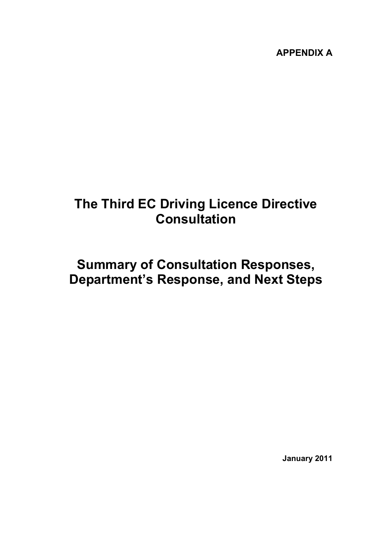**APPENDIX A** 

# **The Third EC Driving Licence Directive Consultation**

# **Summary of Consultation Responses, Department's Response, and Next Steps**

**January 2011**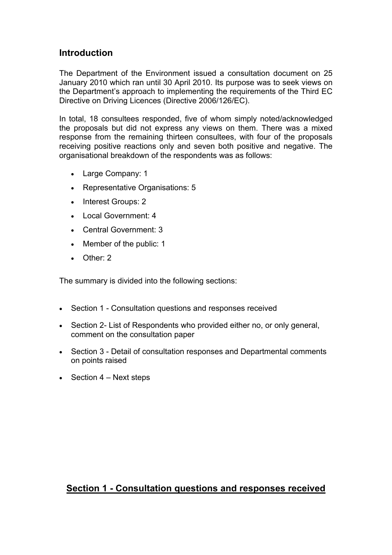### **Introduction**

The Department of the Environment issued a consultation document on 25 January 2010 which ran until 30 April 2010. Its purpose was to seek views on the Department's approach to implementing the requirements of the Third EC Directive on Driving Licences (Directive 2006/126/EC).

In total, 18 consultees responded, five of whom simply noted/acknowledged the proposals but did not express any views on them. There was a mixed response from the remaining thirteen consultees, with four of the proposals receiving positive reactions only and seven both positive and negative. The organisational breakdown of the respondents was as follows:

- Large Company: 1
- Representative Organisations: 5
- Interest Groups: 2
- Local Government: 4
- Central Government: 3
- Member of the public: 1
- Other: 2

The summary is divided into the following sections:

- Section 1 Consultation questions and responses received
- Section 2- List of Respondents who provided either no, or only general, comment on the consultation paper
- Section 3 Detail of consultation responses and Departmental comments on points raised
- Section  $4$  Next steps

### **Section 1 - Consultation questions and responses received**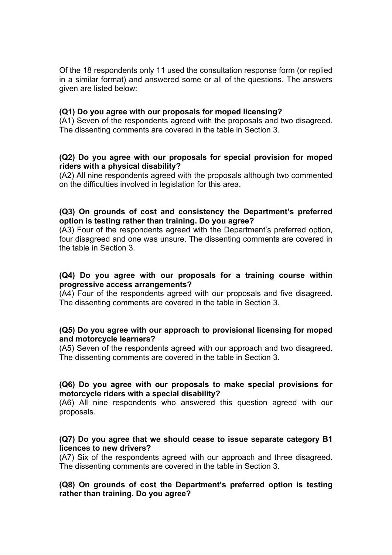Of the 18 respondents only 11 used the consultation response form (or replied in a similar format) and answered some or all of the questions. The answers given are listed below:

#### **(Q1) Do you agree with our proposals for moped licensing?**

(A1) Seven of the respondents agreed with the proposals and two disagreed. The dissenting comments are covered in the table in Section 3.

#### **(Q2) Do you agree with our proposals for special provision for moped riders with a physical disability?**

(A2) All nine respondents agreed with the proposals although two commented on the difficulties involved in legislation for this area.

#### **(Q3) On grounds of cost and consistency the Department's preferred option is testing rather than training. Do you agree?**

(A3) Four of the respondents agreed with the Department's preferred option, four disagreed and one was unsure. The dissenting comments are covered in the table in Section 3.

#### **(Q4) Do you agree with our proposals for a training course within progressive access arrangements?**

(A4) Four of the respondents agreed with our proposals and five disagreed. The dissenting comments are covered in the table in Section 3.

#### **(Q5) Do you agree with our approach to provisional licensing for moped and motorcycle learners?**

(A5) Seven of the respondents agreed with our approach and two disagreed. The dissenting comments are covered in the table in Section 3.

#### **(Q6) Do you agree with our proposals to make special provisions for motorcycle riders with a special disability?**

(A6) All nine respondents who answered this question agreed with our proposals.

#### **(Q7) Do you agree that we should cease to issue separate category B1 licences to new drivers?**

(A7) Six of the respondents agreed with our approach and three disagreed. The dissenting comments are covered in the table in Section 3.

**(Q8) On grounds of cost the Department's preferred option is testing rather than training. Do you agree?**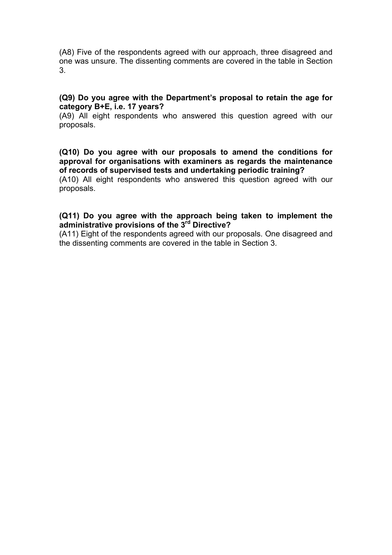(A8) Five of the respondents agreed with our approach, three disagreed and one was unsure. The dissenting comments are covered in the table in Section 3.

#### **(Q9) Do you agree with the Department's proposal to retain the age for category B+E, i.e. 17 years?**

(A9) All eight respondents who answered this question agreed with our proposals.

**(Q10) Do you agree with our proposals to amend the conditions for approval for organisations with examiners as regards the maintenance of records of supervised tests and undertaking periodic training?** 

(A10) All eight respondents who answered this question agreed with our proposals.

#### **(Q11) Do you agree with the approach being taken to implement the administrative provisions of the 3rd Directive?**

(A11) Eight of the respondents agreed with our proposals. One disagreed and the dissenting comments are covered in the table in Section 3.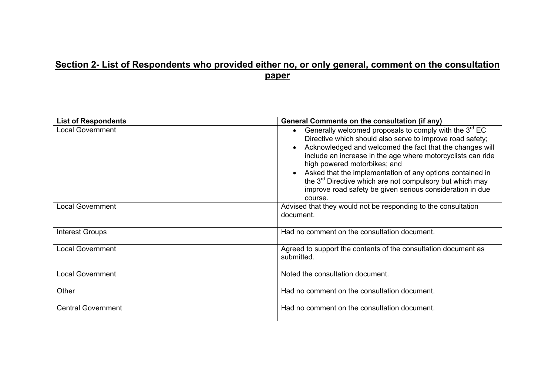### **Section 2- List of Respondents who provided either no, or only general, comment on the consultation paper**

| <b>List of Respondents</b> | <b>General Comments on the consultation (if any)</b>                                                                                                                                                                                                                                                                                                                                                                                                                                                    |  |
|----------------------------|---------------------------------------------------------------------------------------------------------------------------------------------------------------------------------------------------------------------------------------------------------------------------------------------------------------------------------------------------------------------------------------------------------------------------------------------------------------------------------------------------------|--|
| <b>Local Government</b>    | Generally welcomed proposals to comply with the 3 <sup>rd</sup> EC<br>Directive which should also serve to improve road safety;<br>Acknowledged and welcomed the fact that the changes will<br>include an increase in the age where motorcyclists can ride<br>high powered motorbikes; and<br>Asked that the implementation of any options contained in<br>the 3 <sup>rd</sup> Directive which are not compulsory but which may<br>improve road safety be given serious consideration in due<br>course. |  |
| <b>Local Government</b>    | Advised that they would not be responding to the consultation<br>document.                                                                                                                                                                                                                                                                                                                                                                                                                              |  |
| <b>Interest Groups</b>     | Had no comment on the consultation document.                                                                                                                                                                                                                                                                                                                                                                                                                                                            |  |
| <b>Local Government</b>    | Agreed to support the contents of the consultation document as<br>submitted.                                                                                                                                                                                                                                                                                                                                                                                                                            |  |
| <b>Local Government</b>    | Noted the consultation document.                                                                                                                                                                                                                                                                                                                                                                                                                                                                        |  |
| Other                      | Had no comment on the consultation document.                                                                                                                                                                                                                                                                                                                                                                                                                                                            |  |
| <b>Central Government</b>  | Had no comment on the consultation document.                                                                                                                                                                                                                                                                                                                                                                                                                                                            |  |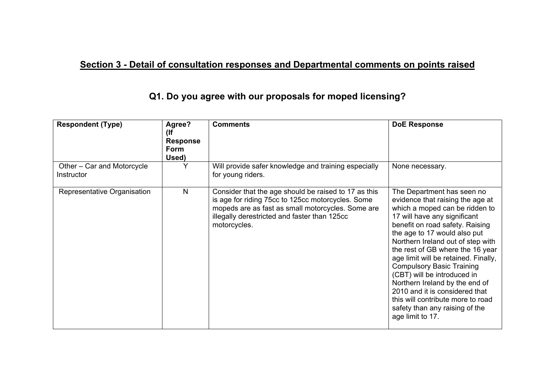# **Section 3 - Detail of consultation responses and Departmental comments on points raised**

| <b>Respondent (Type)</b>                 | Agree?<br>(lf<br><b>Response</b><br>Form<br>Used) | <b>Comments</b>                                                                                                                                                                                                                | <b>DoE Response</b>                                                                                                                                                                                                                                                                                                                                                                                                                                                                                                                                    |
|------------------------------------------|---------------------------------------------------|--------------------------------------------------------------------------------------------------------------------------------------------------------------------------------------------------------------------------------|--------------------------------------------------------------------------------------------------------------------------------------------------------------------------------------------------------------------------------------------------------------------------------------------------------------------------------------------------------------------------------------------------------------------------------------------------------------------------------------------------------------------------------------------------------|
| Other - Car and Motorcycle<br>Instructor |                                                   | Will provide safer knowledge and training especially<br>for young riders.                                                                                                                                                      | None necessary.                                                                                                                                                                                                                                                                                                                                                                                                                                                                                                                                        |
| Representative Organisation              | N                                                 | Consider that the age should be raised to 17 as this<br>is age for riding 75cc to 125cc motorcycles. Some<br>mopeds are as fast as small motorcycles. Some are<br>illegally derestricted and faster than 125cc<br>motorcycles. | The Department has seen no<br>evidence that raising the age at<br>which a moped can be ridden to<br>17 will have any significant<br>benefit on road safety. Raising<br>the age to 17 would also put<br>Northern Ireland out of step with<br>the rest of GB where the 16 year<br>age limit will be retained. Finally,<br><b>Compulsory Basic Training</b><br>(CBT) will be introduced in<br>Northern Ireland by the end of<br>2010 and it is considered that<br>this will contribute more to road<br>safety than any raising of the<br>age limit to 17. |

### **Q1. Do you agree with our proposals for moped licensing?**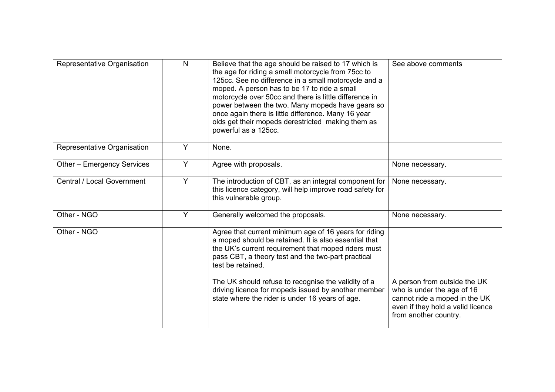| Representative Organisation | $\mathsf{N}$ | Believe that the age should be raised to 17 which is<br>the age for riding a small motorcycle from 75cc to<br>125cc. See no difference in a small motorcycle and a<br>moped. A person has to be 17 to ride a small<br>motorcycle over 50cc and there is little difference in<br>power between the two. Many mopeds have gears so<br>once again there is little difference. Many 16 year<br>olds get their mopeds derestricted making them as<br>powerful as a 125cc. | See above comments                                                                                                                                        |
|-----------------------------|--------------|----------------------------------------------------------------------------------------------------------------------------------------------------------------------------------------------------------------------------------------------------------------------------------------------------------------------------------------------------------------------------------------------------------------------------------------------------------------------|-----------------------------------------------------------------------------------------------------------------------------------------------------------|
| Representative Organisation | Y            | None.                                                                                                                                                                                                                                                                                                                                                                                                                                                                |                                                                                                                                                           |
| Other - Emergency Services  | Y            | Agree with proposals.                                                                                                                                                                                                                                                                                                                                                                                                                                                | None necessary.                                                                                                                                           |
| Central / Local Government  | Y            | The introduction of CBT, as an integral component for<br>this licence category, will help improve road safety for<br>this vulnerable group.                                                                                                                                                                                                                                                                                                                          | None necessary.                                                                                                                                           |
| Other - NGO                 | Y            | Generally welcomed the proposals.                                                                                                                                                                                                                                                                                                                                                                                                                                    | None necessary.                                                                                                                                           |
| Other - NGO                 |              | Agree that current minimum age of 16 years for riding<br>a moped should be retained. It is also essential that<br>the UK's current requirement that moped riders must<br>pass CBT, a theory test and the two-part practical<br>test be retained.                                                                                                                                                                                                                     |                                                                                                                                                           |
|                             |              | The UK should refuse to recognise the validity of a<br>driving licence for mopeds issued by another member<br>state where the rider is under 16 years of age.                                                                                                                                                                                                                                                                                                        | A person from outside the UK<br>who is under the age of 16<br>cannot ride a moped in the UK<br>even if they hold a valid licence<br>from another country. |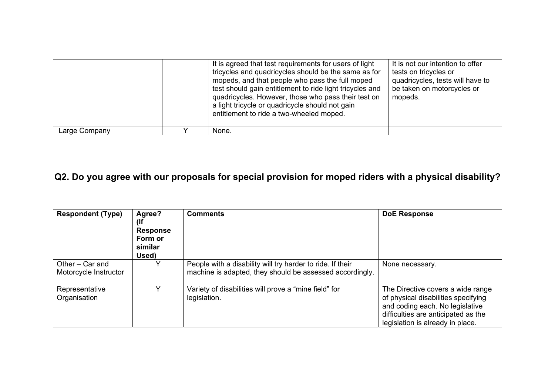|               | It is agreed that test requirements for users of light<br>tricycles and quadricycles should be the same as for<br>mopeds, and that people who pass the full moped<br>test should gain entitlement to ride light tricycles and<br>quadricycles. However, those who pass their test on<br>a light tricycle or quadricycle should not gain<br>entitlement to ride a two-wheeled moped. | It is not our intention to offer<br>tests on tricycles or<br>quadricycles, tests will have to<br>be taken on motorcycles or<br>mopeds. |
|---------------|-------------------------------------------------------------------------------------------------------------------------------------------------------------------------------------------------------------------------------------------------------------------------------------------------------------------------------------------------------------------------------------|----------------------------------------------------------------------------------------------------------------------------------------|
| Large Company | None.                                                                                                                                                                                                                                                                                                                                                                               |                                                                                                                                        |

# **Q2. Do you agree with our proposals for special provision for moped riders with a physical disability?**

| <b>Respondent (Type)</b>                 | Agree?<br>(If<br><b>Response</b><br>Form or<br>similar<br>Used) | <b>Comments</b>                                                                                                        | <b>DoE Response</b>                                                                                                                                                                    |
|------------------------------------------|-----------------------------------------------------------------|------------------------------------------------------------------------------------------------------------------------|----------------------------------------------------------------------------------------------------------------------------------------------------------------------------------------|
| Other – Car and<br>Motorcycle Instructor | v                                                               | People with a disability will try harder to ride. If their<br>machine is adapted, they should be assessed accordingly. | None necessary.                                                                                                                                                                        |
| Representative<br>Organisation           |                                                                 | Variety of disabilities will prove a "mine field" for<br>legislation.                                                  | The Directive covers a wide range<br>of physical disabilities specifying<br>and coding each. No legislative<br>difficulties are anticipated as the<br>legislation is already in place. |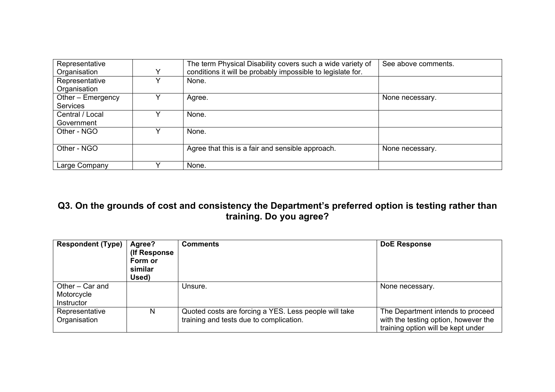| Representative    |   | The term Physical Disability covers such a wide variety of  | See above comments. |
|-------------------|---|-------------------------------------------------------------|---------------------|
| Organisation      | v | conditions it will be probably impossible to legislate for. |                     |
| Representative    |   | None.                                                       |                     |
| Organisation      |   |                                                             |                     |
| Other - Emergency |   | Agree.                                                      | None necessary.     |
| <b>Services</b>   |   |                                                             |                     |
| Central / Local   |   | None.                                                       |                     |
| Government        |   |                                                             |                     |
| Other - NGO       |   | None.                                                       |                     |
|                   |   |                                                             |                     |
| Other - NGO       |   | Agree that this is a fair and sensible approach.            | None necessary.     |
|                   |   |                                                             |                     |
| Large Company     |   | None.                                                       |                     |

### **Q3. On the grounds of cost and consistency the Department's preferred option is testing rather than training. Do you agree?**

| <b>Respondent (Type)</b>                    | Agree?<br>(If Response)<br>Form or<br>similar<br>Used) | <b>Comments</b>                                                                                  | <b>DoE Response</b>                                                                                             |
|---------------------------------------------|--------------------------------------------------------|--------------------------------------------------------------------------------------------------|-----------------------------------------------------------------------------------------------------------------|
| Other - Car and<br>Motorcycle<br>Instructor |                                                        | Unsure.                                                                                          | None necessary.                                                                                                 |
| Representative<br>Organisation              | N                                                      | Quoted costs are forcing a YES. Less people will take<br>training and tests due to complication. | The Department intends to proceed<br>with the testing option, however the<br>training option will be kept under |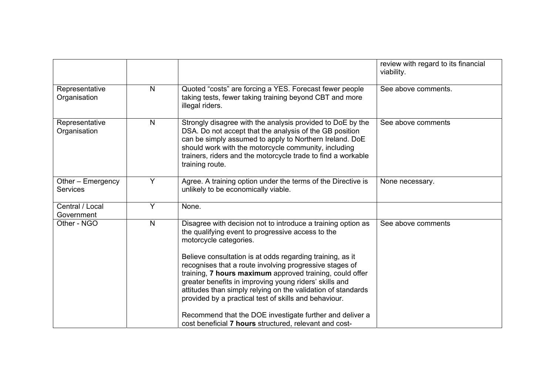|                                      |    |                                                                                                                                                                                                                                                                                                                                                                                                                                                                                                                                                                                                                                          | review with regard to its financial<br>viability. |
|--------------------------------------|----|------------------------------------------------------------------------------------------------------------------------------------------------------------------------------------------------------------------------------------------------------------------------------------------------------------------------------------------------------------------------------------------------------------------------------------------------------------------------------------------------------------------------------------------------------------------------------------------------------------------------------------------|---------------------------------------------------|
| Representative<br>Organisation       | N. | Quoted "costs" are forcing a YES. Forecast fewer people<br>taking tests, fewer taking training beyond CBT and more<br>illegal riders.                                                                                                                                                                                                                                                                                                                                                                                                                                                                                                    | See above comments.                               |
| Representative<br>Organisation       | N  | Strongly disagree with the analysis provided to DoE by the<br>DSA. Do not accept that the analysis of the GB position<br>can be simply assumed to apply to Northern Ireland. DoE<br>should work with the motorcycle community, including<br>trainers, riders and the motorcycle trade to find a workable<br>training route.                                                                                                                                                                                                                                                                                                              | See above comments                                |
| Other - Emergency<br><b>Services</b> | Y  | Agree. A training option under the terms of the Directive is<br>unlikely to be economically viable.                                                                                                                                                                                                                                                                                                                                                                                                                                                                                                                                      | None necessary.                                   |
| Central / Local<br>Government        | Y  | None.                                                                                                                                                                                                                                                                                                                                                                                                                                                                                                                                                                                                                                    |                                                   |
| Other - NGO                          | N  | Disagree with decision not to introduce a training option as<br>the qualifying event to progressive access to the<br>motorcycle categories.<br>Believe consultation is at odds regarding training, as it<br>recognises that a route involving progressive stages of<br>training, 7 hours maximum approved training, could offer<br>greater benefits in improving young riders' skills and<br>attitudes than simply relying on the validation of standards<br>provided by a practical test of skills and behaviour.<br>Recommend that the DOE investigate further and deliver a<br>cost beneficial 7 hours structured, relevant and cost- | See above comments                                |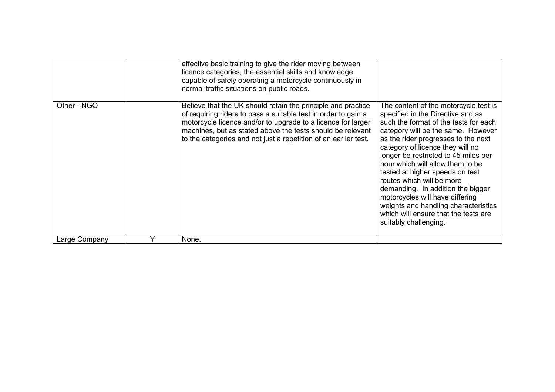|               | effective basic training to give the rider moving between<br>licence categories, the essential skills and knowledge<br>capable of safely operating a motorcycle continuously in<br>normal traffic situations on public roads.                                                                                                   |                                                                                                                                                                                                                                                                                                                                                                                                                                                                                                                                                                   |
|---------------|---------------------------------------------------------------------------------------------------------------------------------------------------------------------------------------------------------------------------------------------------------------------------------------------------------------------------------|-------------------------------------------------------------------------------------------------------------------------------------------------------------------------------------------------------------------------------------------------------------------------------------------------------------------------------------------------------------------------------------------------------------------------------------------------------------------------------------------------------------------------------------------------------------------|
| Other - NGO   | Believe that the UK should retain the principle and practice<br>of requiring riders to pass a suitable test in order to gain a<br>motorcycle licence and/or to upgrade to a licence for larger<br>machines, but as stated above the tests should be relevant<br>to the categories and not just a repetition of an earlier test. | The content of the motorcycle test is<br>specified in the Directive and as<br>such the format of the tests for each<br>category will be the same. However<br>as the rider progresses to the next<br>category of licence they will no<br>longer be restricted to 45 miles per<br>hour which will allow them to be<br>tested at higher speeds on test<br>routes which will be more<br>demanding. In addition the bigger<br>motorcycles will have differing<br>weights and handling characteristics<br>which will ensure that the tests are<br>suitably challenging. |
| Large Company | None.                                                                                                                                                                                                                                                                                                                           |                                                                                                                                                                                                                                                                                                                                                                                                                                                                                                                                                                   |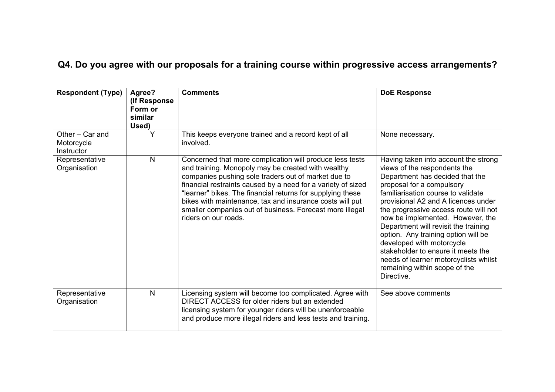# **Q4. Do you agree with our proposals for a training course within progressive access arrangements?**

| <b>Respondent (Type)</b>                    | Agree?<br>(If Response<br>Form or<br>similar<br>Used) | <b>Comments</b>                                                                                                                                                                                                                                                                                                                                                                                                                                     | <b>DoE Response</b>                                                                                                                                                                                                                                                                                                                                                                                                                                                                                                                      |
|---------------------------------------------|-------------------------------------------------------|-----------------------------------------------------------------------------------------------------------------------------------------------------------------------------------------------------------------------------------------------------------------------------------------------------------------------------------------------------------------------------------------------------------------------------------------------------|------------------------------------------------------------------------------------------------------------------------------------------------------------------------------------------------------------------------------------------------------------------------------------------------------------------------------------------------------------------------------------------------------------------------------------------------------------------------------------------------------------------------------------------|
| Other - Car and<br>Motorcycle<br>Instructor | Y                                                     | This keeps everyone trained and a record kept of all<br>involved.                                                                                                                                                                                                                                                                                                                                                                                   | None necessary.                                                                                                                                                                                                                                                                                                                                                                                                                                                                                                                          |
| Representative<br>Organisation              | N                                                     | Concerned that more complication will produce less tests<br>and training. Monopoly may be created with wealthy<br>companies pushing sole traders out of market due to<br>financial restraints caused by a need for a variety of sized<br>"learner" bikes. The financial returns for supplying these<br>bikes with maintenance, tax and insurance costs will put<br>smaller companies out of business. Forecast more illegal<br>riders on our roads. | Having taken into account the strong<br>views of the respondents the<br>Department has decided that the<br>proposal for a compulsory<br>familiarisation course to validate<br>provisional A2 and A licences under<br>the progressive access route will not<br>now be implemented. However, the<br>Department will revisit the training<br>option. Any training option will be<br>developed with motorcycle<br>stakeholder to ensure it meets the<br>needs of learner motorcyclists whilst<br>remaining within scope of the<br>Directive. |
| Representative<br>Organisation              | $\mathsf{N}$                                          | Licensing system will become too complicated. Agree with<br>DIRECT ACCESS for older riders but an extended<br>licensing system for younger riders will be unenforceable<br>and produce more illegal riders and less tests and training.                                                                                                                                                                                                             | See above comments                                                                                                                                                                                                                                                                                                                                                                                                                                                                                                                       |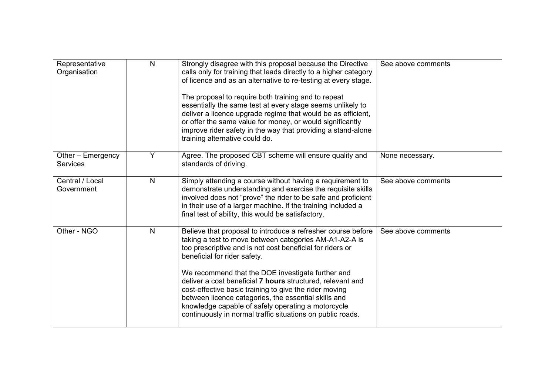| Representative<br>Organisation       | N            | Strongly disagree with this proposal because the Directive<br>calls only for training that leads directly to a higher category<br>of licence and as an alternative to re-testing at every stage.<br>The proposal to require both training and to repeat<br>essentially the same test at every stage seems unlikely to<br>deliver a licence upgrade regime that would be as efficient,<br>or offer the same value for money, or would significantly<br>improve rider safety in the way that providing a stand-alone<br>training alternative could do.                         | See above comments |
|--------------------------------------|--------------|------------------------------------------------------------------------------------------------------------------------------------------------------------------------------------------------------------------------------------------------------------------------------------------------------------------------------------------------------------------------------------------------------------------------------------------------------------------------------------------------------------------------------------------------------------------------------|--------------------|
| Other - Emergency<br><b>Services</b> | Y            | Agree. The proposed CBT scheme will ensure quality and<br>standards of driving.                                                                                                                                                                                                                                                                                                                                                                                                                                                                                              | None necessary.    |
| Central / Local<br>Government        | N            | Simply attending a course without having a requirement to<br>demonstrate understanding and exercise the requisite skills<br>involved does not "prove" the rider to be safe and proficient<br>in their use of a larger machine. If the training included a<br>final test of ability, this would be satisfactory.                                                                                                                                                                                                                                                              | See above comments |
| Other - NGO                          | $\mathsf{N}$ | Believe that proposal to introduce a refresher course before<br>taking a test to move between categories AM-A1-A2-A is<br>too prescriptive and is not cost beneficial for riders or<br>beneficial for rider safety.<br>We recommend that the DOE investigate further and<br>deliver a cost beneficial 7 hours structured, relevant and<br>cost-effective basic training to give the rider moving<br>between licence categories, the essential skills and<br>knowledge capable of safely operating a motorcycle<br>continuously in normal traffic situations on public roads. | See above comments |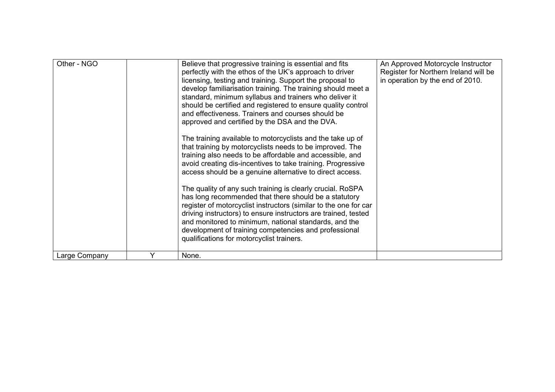| Other - NGO   |   | Believe that progressive training is essential and fits<br>perfectly with the ethos of the UK's approach to driver<br>licensing, testing and training. Support the proposal to<br>develop familiarisation training. The training should meet a<br>standard, minimum syllabus and trainers who deliver it<br>should be certified and registered to ensure quality control<br>and effectiveness. Trainers and courses should be<br>approved and certified by the DSA and the DVA.<br>The training available to motorcyclists and the take up of<br>that training by motorcyclists needs to be improved. The<br>training also needs to be affordable and accessible, and<br>avoid creating dis-incentives to take training. Progressive<br>access should be a genuine alternative to direct access.<br>The quality of any such training is clearly crucial. RoSPA<br>has long recommended that there should be a statutory<br>register of motorcyclist instructors (similar to the one for car<br>driving instructors) to ensure instructors are trained, tested<br>and monitored to minimum, national standards, and the<br>development of training competencies and professional<br>qualifications for motorcyclist trainers. | An Approved Motorcycle Instructor<br>Register for Northern Ireland will be<br>in operation by the end of 2010. |
|---------------|---|------------------------------------------------------------------------------------------------------------------------------------------------------------------------------------------------------------------------------------------------------------------------------------------------------------------------------------------------------------------------------------------------------------------------------------------------------------------------------------------------------------------------------------------------------------------------------------------------------------------------------------------------------------------------------------------------------------------------------------------------------------------------------------------------------------------------------------------------------------------------------------------------------------------------------------------------------------------------------------------------------------------------------------------------------------------------------------------------------------------------------------------------------------------------------------------------------------------------------|----------------------------------------------------------------------------------------------------------------|
| Large Company | Y | None.                                                                                                                                                                                                                                                                                                                                                                                                                                                                                                                                                                                                                                                                                                                                                                                                                                                                                                                                                                                                                                                                                                                                                                                                                        |                                                                                                                |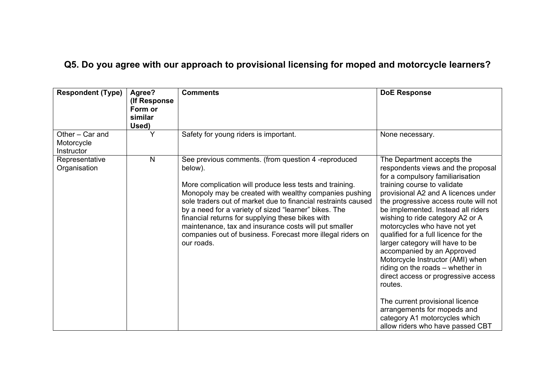# **Q5. Do you agree with our approach to provisional licensing for moped and motorcycle learners?**

| <b>Respondent (Type)</b>                    | Agree?<br>(If Response)<br>Form or<br>similar<br>Used) | <b>Comments</b>                                                                                                                                                                                                                                                                                                                                                                                                                                                                                        | <b>DoE Response</b>                                                                                                                                                                                                                                                                                                                                                                                                                                                                                                                                                                                                                                                                                     |
|---------------------------------------------|--------------------------------------------------------|--------------------------------------------------------------------------------------------------------------------------------------------------------------------------------------------------------------------------------------------------------------------------------------------------------------------------------------------------------------------------------------------------------------------------------------------------------------------------------------------------------|---------------------------------------------------------------------------------------------------------------------------------------------------------------------------------------------------------------------------------------------------------------------------------------------------------------------------------------------------------------------------------------------------------------------------------------------------------------------------------------------------------------------------------------------------------------------------------------------------------------------------------------------------------------------------------------------------------|
| Other - Car and<br>Motorcycle<br>Instructor |                                                        | Safety for young riders is important.                                                                                                                                                                                                                                                                                                                                                                                                                                                                  | None necessary.                                                                                                                                                                                                                                                                                                                                                                                                                                                                                                                                                                                                                                                                                         |
| Representative<br>Organisation              | $\mathsf{N}$                                           | See previous comments. (from question 4 -reproduced<br>below).<br>More complication will produce less tests and training.<br>Monopoly may be created with wealthy companies pushing<br>sole traders out of market due to financial restraints caused<br>by a need for a variety of sized "learner" bikes. The<br>financial returns for supplying these bikes with<br>maintenance, tax and insurance costs will put smaller<br>companies out of business. Forecast more illegal riders on<br>our roads. | The Department accepts the<br>respondents views and the proposal<br>for a compulsory familiarisation<br>training course to validate<br>provisional A2 and A licences under<br>the progressive access route will not<br>be implemented. Instead all riders<br>wishing to ride category A2 or A<br>motorcycles who have not yet<br>qualified for a full licence for the<br>larger category will have to be<br>accompanied by an Approved<br>Motorcycle Instructor (AMI) when<br>riding on the roads - whether in<br>direct access or progressive access<br>routes.<br>The current provisional licence<br>arrangements for mopeds and<br>category A1 motorcycles which<br>allow riders who have passed CBT |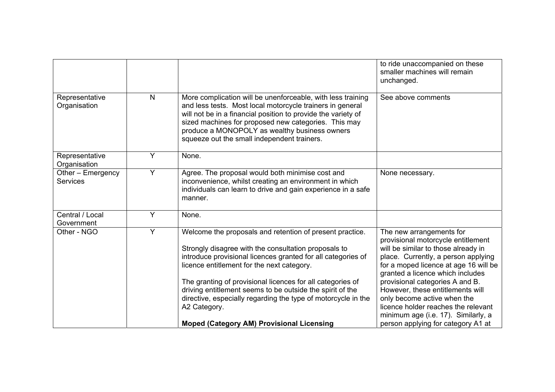|                                      |              |                                                                                                                                                                                                                                                                                                                                                                                                                                                                                                | to ride unaccompanied on these<br>smaller machines will remain<br>unchanged.                                                                                                                                                                                                                                                                                                                                                                        |
|--------------------------------------|--------------|------------------------------------------------------------------------------------------------------------------------------------------------------------------------------------------------------------------------------------------------------------------------------------------------------------------------------------------------------------------------------------------------------------------------------------------------------------------------------------------------|-----------------------------------------------------------------------------------------------------------------------------------------------------------------------------------------------------------------------------------------------------------------------------------------------------------------------------------------------------------------------------------------------------------------------------------------------------|
| Representative<br>Organisation       | $\mathsf{N}$ | More complication will be unenforceable, with less training<br>and less tests. Most local motorcycle trainers in general<br>will not be in a financial position to provide the variety of<br>sized machines for proposed new categories. This may<br>produce a MONOPOLY as wealthy business owners<br>squeeze out the small independent trainers.                                                                                                                                              | See above comments                                                                                                                                                                                                                                                                                                                                                                                                                                  |
| Representative<br>Organisation       | Y            | None.                                                                                                                                                                                                                                                                                                                                                                                                                                                                                          |                                                                                                                                                                                                                                                                                                                                                                                                                                                     |
| Other - Emergency<br><b>Services</b> | Y            | Agree. The proposal would both minimise cost and<br>inconvenience, whilst creating an environment in which<br>individuals can learn to drive and gain experience in a safe<br>manner.                                                                                                                                                                                                                                                                                                          | None necessary.                                                                                                                                                                                                                                                                                                                                                                                                                                     |
| Central / Local<br>Government        | Y            | None.                                                                                                                                                                                                                                                                                                                                                                                                                                                                                          |                                                                                                                                                                                                                                                                                                                                                                                                                                                     |
| Other - NGO                          | Y            | Welcome the proposals and retention of present practice.<br>Strongly disagree with the consultation proposals to<br>introduce provisional licences granted for all categories of<br>licence entitlement for the next category.<br>The granting of provisional licences for all categories of<br>driving entitlement seems to be outside the spirit of the<br>directive, especially regarding the type of motorcycle in the<br>A2 Category.<br><b>Moped (Category AM) Provisional Licensing</b> | The new arrangements for<br>provisional motorcycle entitlement<br>will be similar to those already in<br>place. Currently, a person applying<br>for a moped licence at age 16 will be<br>granted a licence which includes<br>provisional categories A and B.<br>However, these entitlements will<br>only become active when the<br>licence holder reaches the relevant<br>minimum age (i.e. 17). Similarly, a<br>person applying for category A1 at |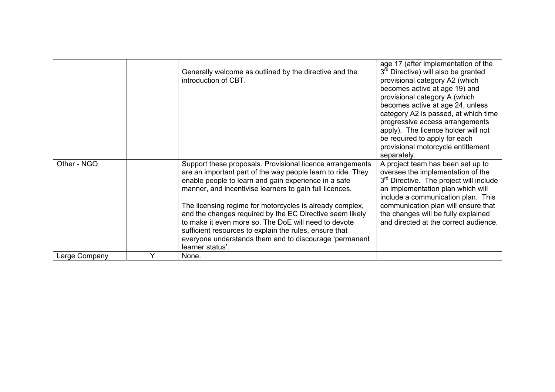|               |   | Generally welcome as outlined by the directive and the<br>introduction of CBT.                                                                                                                                                                                                                                                                                                                                                                                                                                                                                      | age 17 (after implementation of the<br>3 <sup>rd</sup> Directive) will also be granted<br>provisional category A2 (which<br>becomes active at age 19) and<br>provisional category A (which<br>becomes active at age 24, unless<br>category A2 is passed, at which time<br>progressive access arrangements<br>apply). The licence holder will not<br>be required to apply for each<br>provisional motorcycle entitlement<br>separately. |
|---------------|---|---------------------------------------------------------------------------------------------------------------------------------------------------------------------------------------------------------------------------------------------------------------------------------------------------------------------------------------------------------------------------------------------------------------------------------------------------------------------------------------------------------------------------------------------------------------------|----------------------------------------------------------------------------------------------------------------------------------------------------------------------------------------------------------------------------------------------------------------------------------------------------------------------------------------------------------------------------------------------------------------------------------------|
| Other - NGO   |   | Support these proposals. Provisional licence arrangements<br>are an important part of the way people learn to ride. They<br>enable people to learn and gain experience in a safe<br>manner, and incentivise learners to gain full licences.<br>The licensing regime for motorcycles is already complex,<br>and the changes required by the EC Directive seem likely<br>to make it even more so. The DoE will need to devote<br>sufficient resources to explain the rules, ensure that<br>everyone understands them and to discourage 'permanent<br>learner status'. | A project team has been set up to<br>oversee the implementation of the<br>3 <sup>rd</sup> Directive. The project will include<br>an implementation plan which will<br>include a communication plan. This<br>communication plan will ensure that<br>the changes will be fully explained<br>and directed at the correct audience.                                                                                                        |
| Large Company | Υ | None.                                                                                                                                                                                                                                                                                                                                                                                                                                                                                                                                                               |                                                                                                                                                                                                                                                                                                                                                                                                                                        |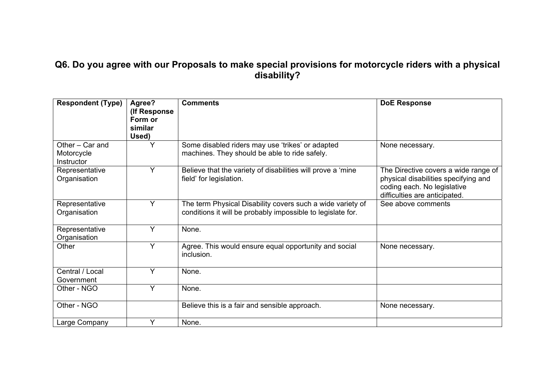### **Q6. Do you agree with our Proposals to make special provisions for motorcycle riders with a physical disability?**

| <b>Respondent (Type)</b>                    | Agree?<br>(If Response)<br>Form or<br>similar<br>Used) | <b>Comments</b>                                                                                                           | <b>DoE Response</b>                                                                                                                          |
|---------------------------------------------|--------------------------------------------------------|---------------------------------------------------------------------------------------------------------------------------|----------------------------------------------------------------------------------------------------------------------------------------------|
| Other - Car and<br>Motorcycle<br>Instructor |                                                        | Some disabled riders may use 'trikes' or adapted<br>machines. They should be able to ride safely.                         | None necessary.                                                                                                                              |
| Representative<br>Organisation              | Y                                                      | Believe that the variety of disabilities will prove a 'mine<br>field' for legislation.                                    | The Directive covers a wide range of<br>physical disabilities specifying and<br>coding each. No legislative<br>difficulties are anticipated. |
| Representative<br>Organisation              | Y                                                      | The term Physical Disability covers such a wide variety of<br>conditions it will be probably impossible to legislate for. | See above comments                                                                                                                           |
| Representative<br>Organisation              | Y                                                      | None.                                                                                                                     |                                                                                                                                              |
| Other                                       | Y                                                      | Agree. This would ensure equal opportunity and social<br>inclusion.                                                       | None necessary.                                                                                                                              |
| Central / Local<br>Government               | Y                                                      | None.                                                                                                                     |                                                                                                                                              |
| Other - NGO                                 | Y                                                      | None.                                                                                                                     |                                                                                                                                              |
| Other - NGO                                 |                                                        | Believe this is a fair and sensible approach.                                                                             | None necessary.                                                                                                                              |
| Large Company                               | Y                                                      | None.                                                                                                                     |                                                                                                                                              |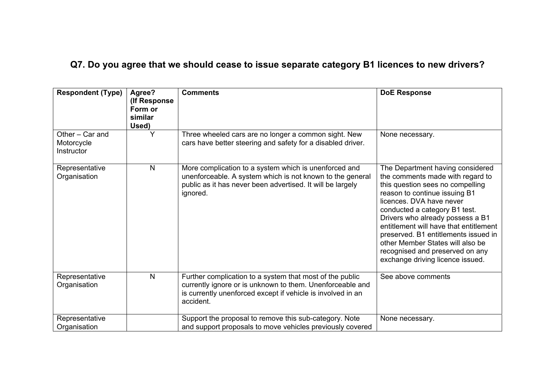# **Q7. Do you agree that we should cease to issue separate category B1 licences to new drivers?**

| <b>Respondent (Type)</b>                    | Agree?<br>(If Response)<br>Form or<br>similar<br>Used) | <b>Comments</b>                                                                                                                                                                                   | <b>DoE Response</b>                                                                                                                                                                                                                                                                                                                                                                                                                     |
|---------------------------------------------|--------------------------------------------------------|---------------------------------------------------------------------------------------------------------------------------------------------------------------------------------------------------|-----------------------------------------------------------------------------------------------------------------------------------------------------------------------------------------------------------------------------------------------------------------------------------------------------------------------------------------------------------------------------------------------------------------------------------------|
| Other - Car and<br>Motorcycle<br>Instructor | Y                                                      | Three wheeled cars are no longer a common sight. New<br>cars have better steering and safety for a disabled driver.                                                                               | None necessary.                                                                                                                                                                                                                                                                                                                                                                                                                         |
| Representative<br>Organisation              | $\overline{N}$                                         | More complication to a system which is unenforced and<br>unenforceable. A system which is not known to the general<br>public as it has never been advertised. It will be largely<br>ignored.      | The Department having considered<br>the comments made with regard to<br>this question sees no compelling<br>reason to continue issuing B1<br>licences. DVA have never<br>conducted a category B1 test.<br>Drivers who already possess a B1<br>entitlement will have that entitlement<br>preserved. B1 entitlements issued in<br>other Member States will also be<br>recognised and preserved on any<br>exchange driving licence issued. |
| Representative<br>Organisation              | $\mathsf{N}$                                           | Further complication to a system that most of the public<br>currently ignore or is unknown to them. Unenforceable and<br>is currently unenforced except if vehicle is involved in an<br>accident. | See above comments                                                                                                                                                                                                                                                                                                                                                                                                                      |
| Representative<br>Organisation              |                                                        | Support the proposal to remove this sub-category. Note<br>and support proposals to move vehicles previously covered                                                                               | None necessary.                                                                                                                                                                                                                                                                                                                                                                                                                         |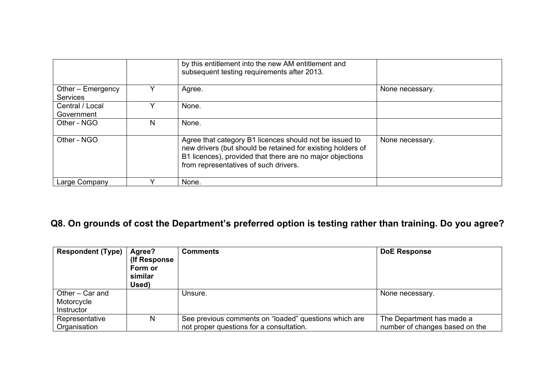|                                      |   | by this entitlement into the new AM entitlement and<br>subsequent testing requirements after 2013.                                                                                                                           |                 |
|--------------------------------------|---|------------------------------------------------------------------------------------------------------------------------------------------------------------------------------------------------------------------------------|-----------------|
| Other – Emergency<br><b>Services</b> |   | Agree.                                                                                                                                                                                                                       | None necessary. |
| Central / Local<br>Government        |   | None.                                                                                                                                                                                                                        |                 |
| Other - NGO                          | N | None.                                                                                                                                                                                                                        |                 |
| Other - NGO                          |   | Agree that category B1 licences should not be issued to<br>new drivers (but should be retained for existing holders of<br>B1 licences), provided that there are no major objections<br>from representatives of such drivers. | None necessary. |
| Large Company                        |   | None.                                                                                                                                                                                                                        |                 |

# **Q8. On grounds of cost the Department's preferred option is testing rather than training. Do you agree?**

| <b>Respondent (Type)</b>                    | Agree?<br>(If Response)<br>Form or<br>similar<br>Used) | <b>Comments</b>                                                                                   | <b>DoE Response</b>                                         |
|---------------------------------------------|--------------------------------------------------------|---------------------------------------------------------------------------------------------------|-------------------------------------------------------------|
| Other – Car and<br>Motorcycle<br>Instructor |                                                        | Unsure.                                                                                           | None necessary.                                             |
| Representative<br>Organisation              | N                                                      | See previous comments on "loaded" questions which are<br>not proper questions for a consultation. | The Department has made a<br>number of changes based on the |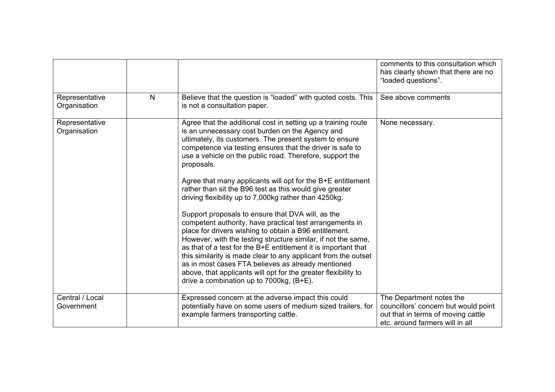|                                |              |                                                                                                                                                                                                                                                                                                                                                                                                                                                                                                                                                                                                                                                                                                                                                                                                                                                                                                                                                                                                                                                                 | comments to this consultation which<br>has clearly shown that there are no<br>"loaded questions".                                         |
|--------------------------------|--------------|-----------------------------------------------------------------------------------------------------------------------------------------------------------------------------------------------------------------------------------------------------------------------------------------------------------------------------------------------------------------------------------------------------------------------------------------------------------------------------------------------------------------------------------------------------------------------------------------------------------------------------------------------------------------------------------------------------------------------------------------------------------------------------------------------------------------------------------------------------------------------------------------------------------------------------------------------------------------------------------------------------------------------------------------------------------------|-------------------------------------------------------------------------------------------------------------------------------------------|
| Representative<br>Organisation | $\mathsf{N}$ | Believe that the question is "loaded" with quoted costs. This<br>is not a consultation paper.                                                                                                                                                                                                                                                                                                                                                                                                                                                                                                                                                                                                                                                                                                                                                                                                                                                                                                                                                                   | See above comments                                                                                                                        |
| Representative<br>Organisation |              | Agree that the additional cost in setting up a training route<br>is an unnecessary cost burden on the Agency and<br>ultimately, its customers. The present system to ensure<br>competence via testing ensures that the driver is safe to<br>use a vehicle on the public road. Therefore, support the<br>proposals.<br>Agree that many applicants will opt for the B+E entitlement<br>rather than sit the B96 test as this would give greater<br>driving flexibility up to 7,000kg rather than 4250kg.<br>Support proposals to ensure that DVA will, as the<br>competent authority, have practical test arrangements in<br>place for drivers wishing to obtain a B96 entitlement.<br>However, with the testing structure similar, if not the same,<br>as that of a test for the B+E entitlement it is important that<br>this similarity is made clear to any applicant from the outset<br>as in most cases FTA believes as already mentioned<br>above, that applicants will opt for the greater flexibility to<br>drive a combination up to $7000kg$ , $(B+E)$ . | None necessary.                                                                                                                           |
| Central / Local<br>Government  |              | Expressed concern at the adverse impact this could<br>potentially have on some users of medium sized trailers, for<br>example farmers transporting cattle.                                                                                                                                                                                                                                                                                                                                                                                                                                                                                                                                                                                                                                                                                                                                                                                                                                                                                                      | The Department notes the<br>councillors' concern but would point<br>out that in terms of moving cattle<br>etc. around farmers will in all |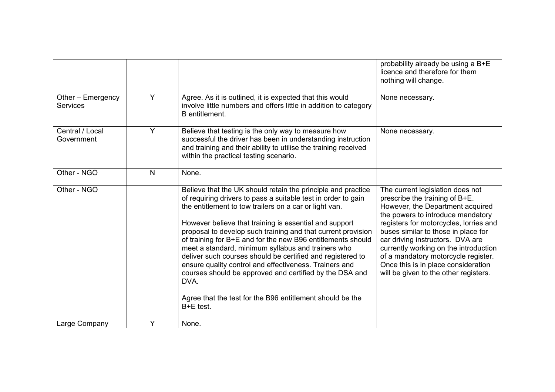|                                      |   |                                                                                                                                                                                                                                                                                                                                                                                                                                                                                                                                                                                                                                                                                                             | probability already be using a B+E<br>licence and therefore for them<br>nothing will change.                                                                                                                                                                                                                                                                                                                                     |
|--------------------------------------|---|-------------------------------------------------------------------------------------------------------------------------------------------------------------------------------------------------------------------------------------------------------------------------------------------------------------------------------------------------------------------------------------------------------------------------------------------------------------------------------------------------------------------------------------------------------------------------------------------------------------------------------------------------------------------------------------------------------------|----------------------------------------------------------------------------------------------------------------------------------------------------------------------------------------------------------------------------------------------------------------------------------------------------------------------------------------------------------------------------------------------------------------------------------|
| Other - Emergency<br><b>Services</b> | Y | Agree. As it is outlined, it is expected that this would<br>involve little numbers and offers little in addition to category<br>B entitlement.                                                                                                                                                                                                                                                                                                                                                                                                                                                                                                                                                              | None necessary.                                                                                                                                                                                                                                                                                                                                                                                                                  |
| Central / Local<br>Government        | Y | Believe that testing is the only way to measure how<br>successful the driver has been in understanding instruction<br>and training and their ability to utilise the training received<br>within the practical testing scenario.                                                                                                                                                                                                                                                                                                                                                                                                                                                                             | None necessary.                                                                                                                                                                                                                                                                                                                                                                                                                  |
| Other - NGO                          | N | None.                                                                                                                                                                                                                                                                                                                                                                                                                                                                                                                                                                                                                                                                                                       |                                                                                                                                                                                                                                                                                                                                                                                                                                  |
| Other - NGO                          |   | Believe that the UK should retain the principle and practice<br>of requiring drivers to pass a suitable test in order to gain<br>the entitlement to tow trailers on a car or light van.<br>However believe that training is essential and support<br>proposal to develop such training and that current provision<br>of training for B+E and for the new B96 entitlements should<br>meet a standard, minimum syllabus and trainers who<br>deliver such courses should be certified and registered to<br>ensure quality control and effectiveness. Trainers and<br>courses should be approved and certified by the DSA and<br>DVA.<br>Agree that the test for the B96 entitlement should be the<br>B+E test. | The current legislation does not<br>prescribe the training of B+E.<br>However, the Department acquired<br>the powers to introduce mandatory<br>registers for motorcycles, lorries and<br>buses similar to those in place for<br>car driving instructors. DVA are<br>currently working on the introduction<br>of a mandatory motorcycle register.<br>Once this is in place consideration<br>will be given to the other registers. |
| Large Company                        | Y | None.                                                                                                                                                                                                                                                                                                                                                                                                                                                                                                                                                                                                                                                                                                       |                                                                                                                                                                                                                                                                                                                                                                                                                                  |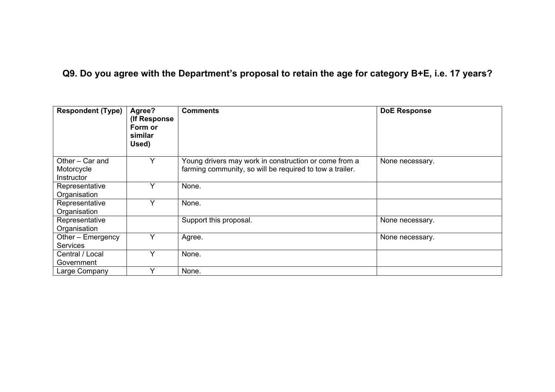# **Q9. Do you agree with the Department's proposal to retain the age for category B+E, i.e. 17 years?**

| <b>Respondent (Type)</b>                    | Agree?<br>(If Response)<br>Form or<br>similar<br>Used) | <b>Comments</b>                                                                                                   | <b>DoE Response</b> |
|---------------------------------------------|--------------------------------------------------------|-------------------------------------------------------------------------------------------------------------------|---------------------|
| Other - Car and<br>Motorcycle<br>Instructor | Y                                                      | Young drivers may work in construction or come from a<br>farming community, so will be required to tow a trailer. | None necessary.     |
| Representative<br>Organisation              | Y                                                      | None.                                                                                                             |                     |
| Representative<br>Organisation              | Y                                                      | None.                                                                                                             |                     |
| Representative<br>Organisation              |                                                        | Support this proposal.                                                                                            | None necessary.     |
| Other - Emergency<br><b>Services</b>        | Y                                                      | Agree.                                                                                                            | None necessary.     |
| Central / Local<br>Government               | v                                                      | None.                                                                                                             |                     |
| Large Company                               | Υ                                                      | None.                                                                                                             |                     |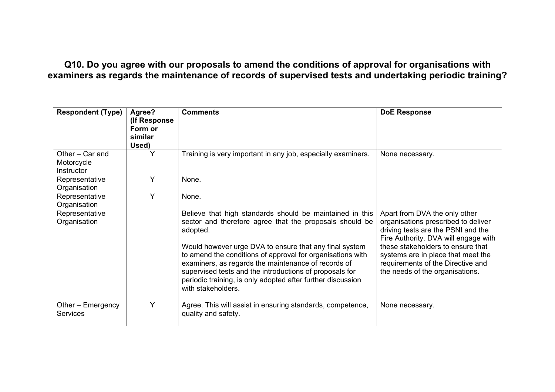### **Q10. Do you agree with our proposals to amend the conditions of approval for organisations with examiners as regards the maintenance of records of supervised tests and undertaking periodic training?**

| <b>Respondent (Type)</b>                    | Agree?<br>(If Response<br>Form or<br>similar<br>Used) | <b>Comments</b>                                                                                                                                                                                                                                                                                                                                                                                                                                                | <b>DoE Response</b>                                                                                                                                                                                                                                                                                   |
|---------------------------------------------|-------------------------------------------------------|----------------------------------------------------------------------------------------------------------------------------------------------------------------------------------------------------------------------------------------------------------------------------------------------------------------------------------------------------------------------------------------------------------------------------------------------------------------|-------------------------------------------------------------------------------------------------------------------------------------------------------------------------------------------------------------------------------------------------------------------------------------------------------|
| Other - Car and<br>Motorcycle<br>Instructor | Y                                                     | Training is very important in any job, especially examiners.                                                                                                                                                                                                                                                                                                                                                                                                   | None necessary.                                                                                                                                                                                                                                                                                       |
| Representative<br>Organisation              | Y                                                     | None.                                                                                                                                                                                                                                                                                                                                                                                                                                                          |                                                                                                                                                                                                                                                                                                       |
| Representative<br>Organisation              | Y                                                     | None.                                                                                                                                                                                                                                                                                                                                                                                                                                                          |                                                                                                                                                                                                                                                                                                       |
| Representative<br>Organisation              |                                                       | Believe that high standards should be maintained in this<br>sector and therefore agree that the proposals should be<br>adopted.<br>Would however urge DVA to ensure that any final system<br>to amend the conditions of approval for organisations with<br>examiners, as regards the maintenance of records of<br>supervised tests and the introductions of proposals for<br>periodic training, is only adopted after further discussion<br>with stakeholders. | Apart from DVA the only other<br>organisations prescribed to deliver<br>driving tests are the PSNI and the<br>Fire Authority. DVA will engage with<br>these stakeholders to ensure that<br>systems are in place that meet the<br>requirements of the Directive and<br>the needs of the organisations. |
| Other – Emergency<br><b>Services</b>        | Y                                                     | Agree. This will assist in ensuring standards, competence,<br>quality and safety.                                                                                                                                                                                                                                                                                                                                                                              | None necessary.                                                                                                                                                                                                                                                                                       |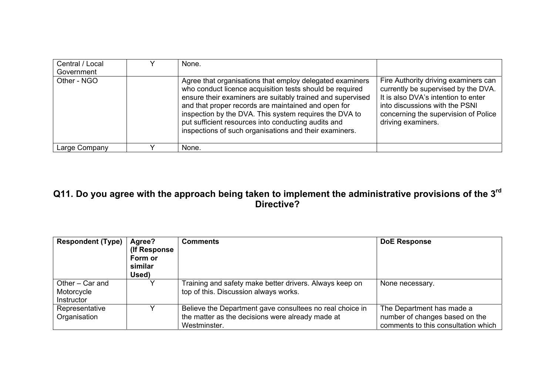| Central / Local<br>Government | None.                                                                                                                                                                                                                                                                                                                                                                                                                |                                                                                                                                                                                                                    |
|-------------------------------|----------------------------------------------------------------------------------------------------------------------------------------------------------------------------------------------------------------------------------------------------------------------------------------------------------------------------------------------------------------------------------------------------------------------|--------------------------------------------------------------------------------------------------------------------------------------------------------------------------------------------------------------------|
| Other - NGO                   | Agree that organisations that employ delegated examiners<br>who conduct licence acquisition tests should be required<br>ensure their examiners are suitably trained and supervised<br>and that proper records are maintained and open for<br>inspection by the DVA. This system requires the DVA to<br>put sufficient resources into conducting audits and<br>inspections of such organisations and their examiners. | Fire Authority driving examiners can<br>currently be supervised by the DVA.<br>It is also DVA's intention to enter<br>into discussions with the PSNI<br>concerning the supervision of Police<br>driving examiners. |
| Large Company                 | None.                                                                                                                                                                                                                                                                                                                                                                                                                |                                                                                                                                                                                                                    |

### **Q11. Do you agree with the approach being taken to implement the administrative provisions of the 3r<sup>d</sup> Directive?**

| <b>Respondent (Type)</b> | Agree?        | <b>Comments</b>                                          | <b>DoE Response</b>                 |
|--------------------------|---------------|----------------------------------------------------------|-------------------------------------|
|                          | (If Response) |                                                          |                                     |
|                          | Form or       |                                                          |                                     |
|                          | similar       |                                                          |                                     |
|                          | Used)         |                                                          |                                     |
| Other – Car and          |               | Training and safety make better drivers. Always keep on  | None necessary.                     |
| Motorcycle               |               | top of this. Discussion always works.                    |                                     |
| <b>Instructor</b>        |               |                                                          |                                     |
| Representative           |               | Believe the Department gave consultees no real choice in | The Department has made a           |
| Organisation             |               | the matter as the decisions were already made at         | number of changes based on the      |
|                          |               | Westminster.                                             | comments to this consultation which |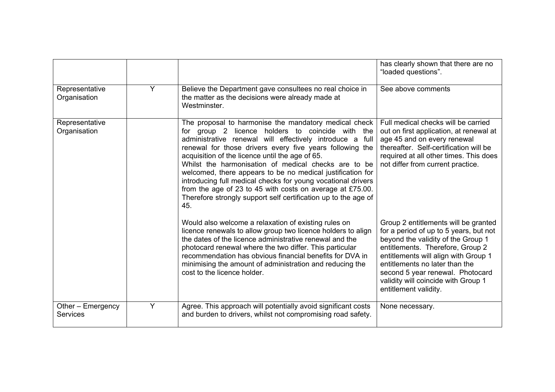|                                      |   |                                                                                                                                                                                                                                                                                                                                                                                                                                                                                                                                                                                                                  | has clearly shown that there are no<br>"loaded questions".                                                                                                                                                                                                                                                                             |
|--------------------------------------|---|------------------------------------------------------------------------------------------------------------------------------------------------------------------------------------------------------------------------------------------------------------------------------------------------------------------------------------------------------------------------------------------------------------------------------------------------------------------------------------------------------------------------------------------------------------------------------------------------------------------|----------------------------------------------------------------------------------------------------------------------------------------------------------------------------------------------------------------------------------------------------------------------------------------------------------------------------------------|
| Representative<br>Organisation       | Y | Believe the Department gave consultees no real choice in<br>the matter as the decisions were already made at<br>Westminster.                                                                                                                                                                                                                                                                                                                                                                                                                                                                                     | See above comments                                                                                                                                                                                                                                                                                                                     |
| Representative<br>Organisation       |   | The proposal to harmonise the mandatory medical check<br>for group 2 licence holders to coincide with the<br>administrative renewal will effectively introduce a full<br>renewal for those drivers every five years following the<br>acquisition of the licence until the age of 65.<br>Whilst the harmonisation of medical checks are to be<br>welcomed, there appears to be no medical justification for<br>introducing full medical checks for young vocational drivers<br>from the age of 23 to 45 with costs on average at £75.00.<br>Therefore strongly support self certification up to the age of<br>45. | Full medical checks will be carried<br>out on first application, at renewal at<br>age 45 and on every renewal<br>thereafter. Self-certification will be<br>required at all other times. This does<br>not differ from current practice.                                                                                                 |
|                                      |   | Would also welcome a relaxation of existing rules on<br>licence renewals to allow group two licence holders to align<br>the dates of the licence administrative renewal and the<br>photocard renewal where the two differ. This particular<br>recommendation has obvious financial benefits for DVA in<br>minimising the amount of administration and reducing the<br>cost to the licence holder.                                                                                                                                                                                                                | Group 2 entitlements will be granted<br>for a period of up to 5 years, but not<br>beyond the validity of the Group 1<br>entitlements. Therefore, Group 2<br>entitlements will align with Group 1<br>entitlements no later than the<br>second 5 year renewal. Photocard<br>validity will coincide with Group 1<br>entitlement validity. |
| Other - Emergency<br><b>Services</b> | Y | Agree. This approach will potentially avoid significant costs<br>and burden to drivers, whilst not compromising road safety.                                                                                                                                                                                                                                                                                                                                                                                                                                                                                     | None necessary.                                                                                                                                                                                                                                                                                                                        |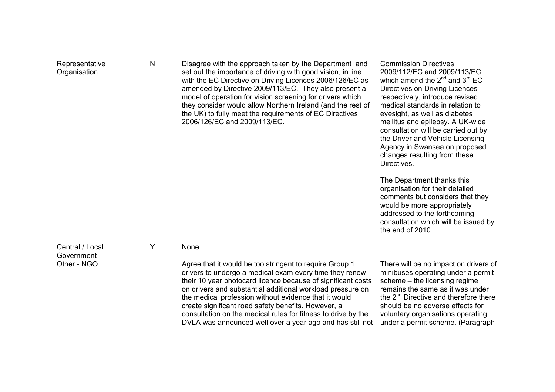| Representative<br>Organisation | $\mathsf{N}$ | Disagree with the approach taken by the Department and<br>set out the importance of driving with good vision, in line<br>with the EC Directive on Driving Licences 2006/126/EC as<br>amended by Directive 2009/113/EC. They also present a<br>model of operation for vision screening for drivers which<br>they consider would allow Northern Ireland (and the rest of<br>the UK) to fully meet the requirements of EC Directives<br>2006/126/EC and 2009/113/EC.                              | <b>Commission Directives</b><br>2009/112/EC and 2009/113/EC,<br>which amend the $2^{nd}$ and $3^{rd}$ EC<br>Directives on Driving Licences<br>respectively, introduce revised<br>medical standards in relation to<br>eyesight, as well as diabetes<br>mellitus and epilepsy. A UK-wide<br>consultation will be carried out by<br>the Driver and Vehicle Licensing<br>Agency in Swansea on proposed<br>changes resulting from these<br>Directives.<br>The Department thanks this<br>organisation for their detailed<br>comments but considers that they<br>would be more appropriately<br>addressed to the forthcoming<br>consultation which will be issued by<br>the end of 2010. |
|--------------------------------|--------------|------------------------------------------------------------------------------------------------------------------------------------------------------------------------------------------------------------------------------------------------------------------------------------------------------------------------------------------------------------------------------------------------------------------------------------------------------------------------------------------------|-----------------------------------------------------------------------------------------------------------------------------------------------------------------------------------------------------------------------------------------------------------------------------------------------------------------------------------------------------------------------------------------------------------------------------------------------------------------------------------------------------------------------------------------------------------------------------------------------------------------------------------------------------------------------------------|
| Central / Local<br>Government  | Y            | None.                                                                                                                                                                                                                                                                                                                                                                                                                                                                                          |                                                                                                                                                                                                                                                                                                                                                                                                                                                                                                                                                                                                                                                                                   |
| Other - NGO                    |              | Agree that it would be too stringent to require Group 1<br>drivers to undergo a medical exam every time they renew<br>their 10 year photocard licence because of significant costs<br>on drivers and substantial additional workload pressure on<br>the medical profession without evidence that it would<br>create significant road safety benefits. However, a<br>consultation on the medical rules for fitness to drive by the<br>DVLA was announced well over a year ago and has still not | There will be no impact on drivers of<br>minibuses operating under a permit<br>scheme - the licensing regime<br>remains the same as it was under<br>the 2 <sup>nd</sup> Directive and therefore there<br>should be no adverse effects for<br>voluntary organisations operating<br>under a permit scheme. (Paragraph                                                                                                                                                                                                                                                                                                                                                               |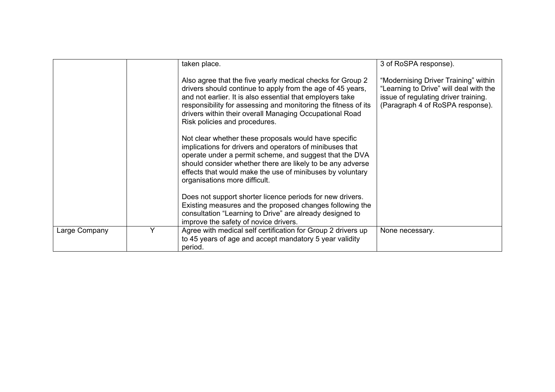|               |   | taken place.                                                                                                                                                                                                                                                                                                                                        | 3 of RoSPA response).                                                                                                                                      |
|---------------|---|-----------------------------------------------------------------------------------------------------------------------------------------------------------------------------------------------------------------------------------------------------------------------------------------------------------------------------------------------------|------------------------------------------------------------------------------------------------------------------------------------------------------------|
|               |   | Also agree that the five yearly medical checks for Group 2<br>drivers should continue to apply from the age of 45 years,<br>and not earlier. It is also essential that employers take<br>responsibility for assessing and monitoring the fitness of its<br>drivers within their overall Managing Occupational Road<br>Risk policies and procedures. | "Modernising Driver Training" within<br>"Learning to Drive" will deal with the<br>issue of regulating driver training.<br>(Paragraph 4 of RoSPA response). |
|               |   | Not clear whether these proposals would have specific<br>implications for drivers and operators of minibuses that<br>operate under a permit scheme, and suggest that the DVA<br>should consider whether there are likely to be any adverse<br>effects that would make the use of minibuses by voluntary<br>organisations more difficult.            |                                                                                                                                                            |
|               |   | Does not support shorter licence periods for new drivers.<br>Existing measures and the proposed changes following the<br>consultation "Learning to Drive" are already designed to<br>improve the safety of novice drivers.                                                                                                                          |                                                                                                                                                            |
| Large Company | Y | Agree with medical self certification for Group 2 drivers up<br>to 45 years of age and accept mandatory 5 year validity<br>period.                                                                                                                                                                                                                  | None necessary.                                                                                                                                            |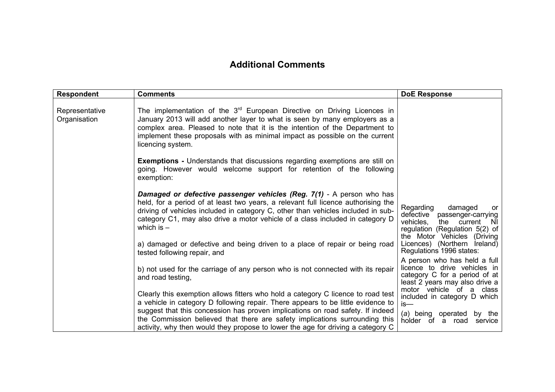#### **Additional Comments**

| <b>Respondent</b>              | <b>Comments</b>                                                                                                                                                                                                                                                                                                                                        | <b>DoE Response</b>                                                                                                                                                 |
|--------------------------------|--------------------------------------------------------------------------------------------------------------------------------------------------------------------------------------------------------------------------------------------------------------------------------------------------------------------------------------------------------|---------------------------------------------------------------------------------------------------------------------------------------------------------------------|
| Representative<br>Organisation | The implementation of the $3^{rd}$ European Directive on Driving Licences in<br>January 2013 will add another layer to what is seen by many employers as a<br>complex area. Pleased to note that it is the intention of the Department to<br>implement these proposals with as minimal impact as possible on the current<br>licencing system.          |                                                                                                                                                                     |
|                                | <b>Exemptions - Understands that discussions regarding exemptions are still on</b><br>going. However would welcome support for retention of the following<br>exemption:                                                                                                                                                                                |                                                                                                                                                                     |
|                                | <b>Damaged or defective passenger vehicles (Reg. 7(1) - A person who has</b><br>held, for a period of at least two years, a relevant full licence authorising the<br>driving of vehicles included in category C, other than vehicles included in sub-<br>category C1, may also drive a motor vehicle of a class included in category D<br>which is $-$ | Regarding<br>damaged<br>or<br>defective passenger-carrying<br>vehicles.<br>the<br>current<br>NI.<br>regulation (Regulation $5(2)$ of<br>the Motor Vehicles (Driving |
|                                | a) damaged or defective and being driven to a place of repair or being road<br>tested following repair, and                                                                                                                                                                                                                                            | Licences) (Northern Ireland)<br>Regulations 1996 states:                                                                                                            |
|                                | b) not used for the carriage of any person who is not connected with its repair<br>and road testing,                                                                                                                                                                                                                                                   | A person who has held a full<br>licence to drive vehicles in<br>category C for a period of at<br>least 2 years may also drive a                                     |
|                                | Clearly this exemption allows fitters who hold a category C licence to road test<br>a vehicle in category D following repair. There appears to be little evidence to                                                                                                                                                                                   | motor vehicle of a class<br>included in category D which<br>is—                                                                                                     |
|                                | suggest that this concession has proven implications on road safety. If indeed<br>the Commission believed that there are safety implications surrounding this<br>activity, why then would they propose to lower the age for driving a category C                                                                                                       | (a) being operated by the<br>holder of a road<br>service                                                                                                            |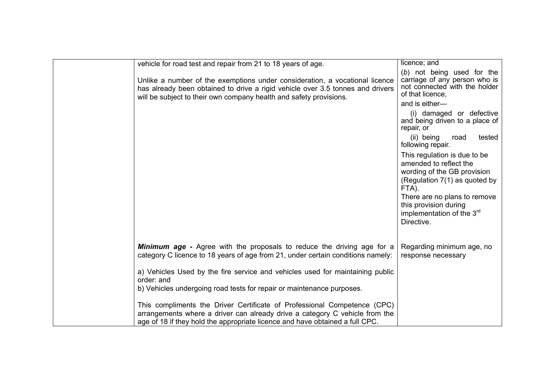| vehicle for road test and repair from 21 to 18 years of age.                                                                                                                                                                            | licence; and                                                                                                                                                                                                                                    |
|-----------------------------------------------------------------------------------------------------------------------------------------------------------------------------------------------------------------------------------------|-------------------------------------------------------------------------------------------------------------------------------------------------------------------------------------------------------------------------------------------------|
| Unlike a number of the exemptions under consideration, a vocational licence<br>has already been obtained to drive a rigid vehicle over 3.5 tonnes and drivers<br>will be subject to their own company health and safety provisions.     | (b) not being used for the<br>carriage of any person who is<br>not connected with the holder<br>of that licence,                                                                                                                                |
|                                                                                                                                                                                                                                         | and is either-                                                                                                                                                                                                                                  |
|                                                                                                                                                                                                                                         | (i) damaged or defective<br>and being driven to a place of<br>repair, or                                                                                                                                                                        |
|                                                                                                                                                                                                                                         | (ii) being<br>tested<br>road<br>following repair.                                                                                                                                                                                               |
|                                                                                                                                                                                                                                         | This regulation is due to be<br>amended to reflect the<br>wording of the GB provision<br>(Regulation 7(1) as quoted by<br>FTA).<br>There are no plans to remove<br>this provision during<br>implementation of the 3 <sup>rd</sup><br>Directive. |
|                                                                                                                                                                                                                                         |                                                                                                                                                                                                                                                 |
| <b>Minimum age</b> - Agree with the proposals to reduce the driving age for a<br>category C licence to 18 years of age from 21, under certain conditions namely:                                                                        | Regarding minimum age, no<br>response necessary                                                                                                                                                                                                 |
| a) Vehicles Used by the fire service and vehicles used for maintaining public<br>order: and<br>b) Vehicles undergoing road tests for repair or maintenance purposes.                                                                    |                                                                                                                                                                                                                                                 |
| This compliments the Driver Certificate of Professional Competence (CPC)<br>arrangements where a driver can already drive a category C vehicle from the<br>age of 18 if they hold the appropriate licence and have obtained a full CPC. |                                                                                                                                                                                                                                                 |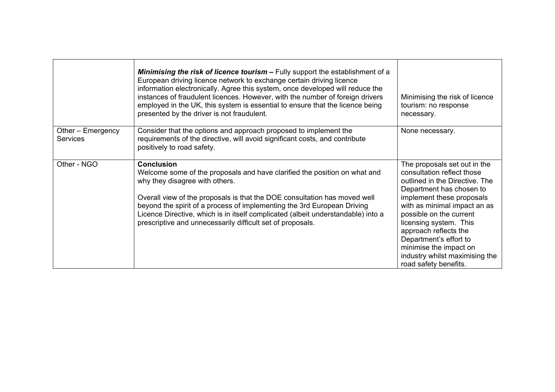|                                      | Minimising the risk of licence tourism - Fully support the establishment of a<br>European driving licence network to exchange certain driving licence<br>information electronically. Agree this system, once developed will reduce the<br>instances of fraudulent licences. However, with the number of foreign drivers<br>employed in the UK, this system is essential to ensure that the licence being<br>presented by the driver is not fraudulent. | Minimising the risk of licence<br>tourism: no response<br>necessary.                                                                                                                                                                                                                                                                                                               |
|--------------------------------------|--------------------------------------------------------------------------------------------------------------------------------------------------------------------------------------------------------------------------------------------------------------------------------------------------------------------------------------------------------------------------------------------------------------------------------------------------------|------------------------------------------------------------------------------------------------------------------------------------------------------------------------------------------------------------------------------------------------------------------------------------------------------------------------------------------------------------------------------------|
| Other - Emergency<br><b>Services</b> | Consider that the options and approach proposed to implement the<br>requirements of the directive, will avoid significant costs, and contribute<br>positively to road safety.                                                                                                                                                                                                                                                                          | None necessary.                                                                                                                                                                                                                                                                                                                                                                    |
| Other - NGO                          | <b>Conclusion</b><br>Welcome some of the proposals and have clarified the position on what and<br>why they disagree with others.<br>Overall view of the proposals is that the DOE consultation has moved well<br>beyond the spirit of a process of implementing the 3rd European Driving<br>Licence Directive, which is in itself complicated (albeit understandable) into a<br>prescriptive and unnecessarily difficult set of proposals.             | The proposals set out in the<br>consultation reflect those<br>outlined in the Directive. The<br>Department has chosen to<br>implement these proposals<br>with as minimal impact an as<br>possible on the current<br>licensing system. This<br>approach reflects the<br>Department's effort to<br>minimise the impact on<br>industry whilst maximising the<br>road safety benefits. |